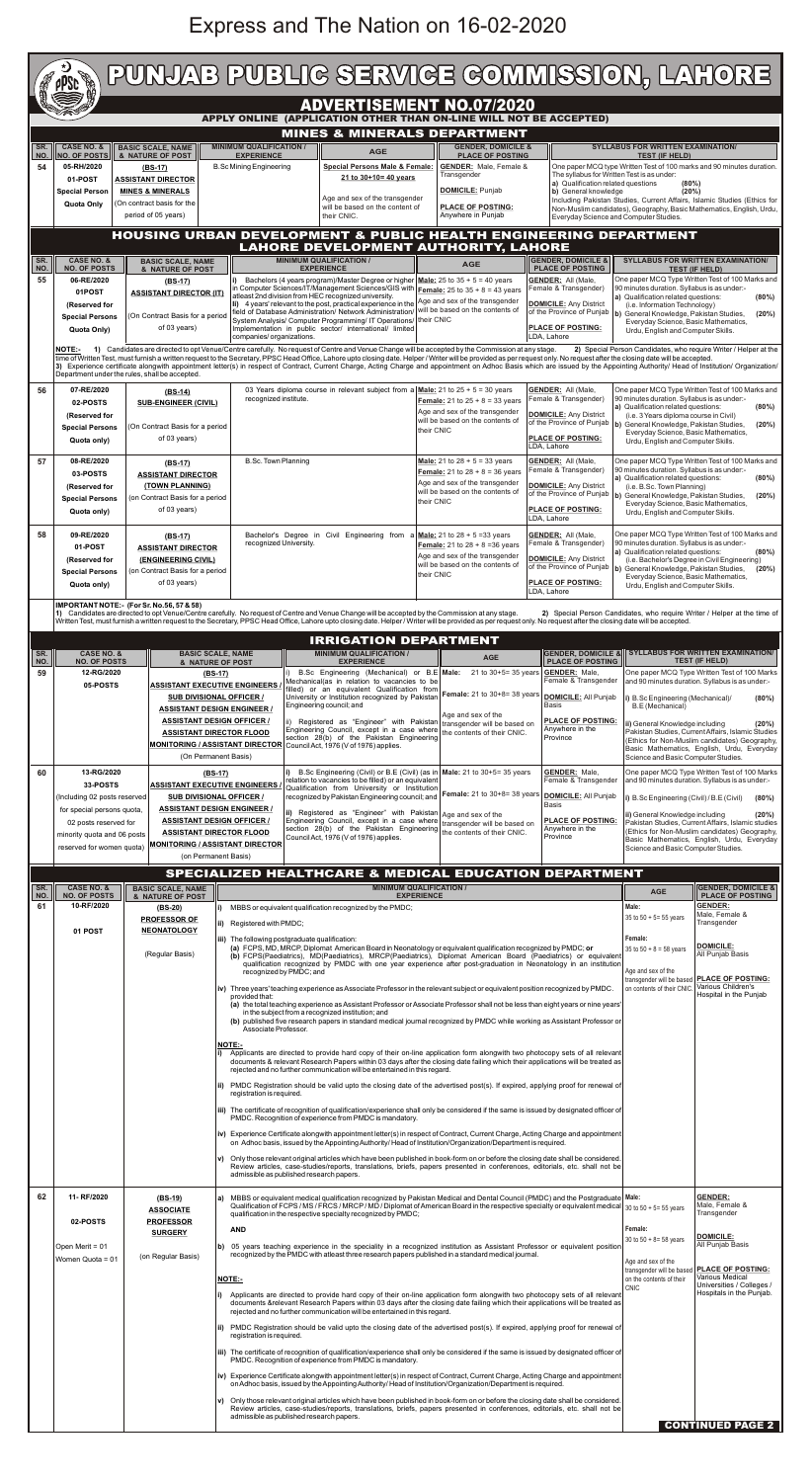## Express and The Nation on 16-02-2020

|                                                                                                       | PUNJAB PUBLIG SERVIGE GOMMISSION, LAHORE                                                                                                                                                                                                                                                                                                                                                                                 |                                                                                                                                                                                                                                                                                                            |                                                                                                                                                                                                                                                              |                                                                                                                                                                                                                                                                                                                                                                                                                                                                                                                    |                                                                                                                                                                                                                                                                                                                                                       |                                                                                                                                   |                                                                                                                                                           |                                                                                                                                                            |  |  |
|-------------------------------------------------------------------------------------------------------|--------------------------------------------------------------------------------------------------------------------------------------------------------------------------------------------------------------------------------------------------------------------------------------------------------------------------------------------------------------------------------------------------------------------------|------------------------------------------------------------------------------------------------------------------------------------------------------------------------------------------------------------------------------------------------------------------------------------------------------------|--------------------------------------------------------------------------------------------------------------------------------------------------------------------------------------------------------------------------------------------------------------|--------------------------------------------------------------------------------------------------------------------------------------------------------------------------------------------------------------------------------------------------------------------------------------------------------------------------------------------------------------------------------------------------------------------------------------------------------------------------------------------------------------------|-------------------------------------------------------------------------------------------------------------------------------------------------------------------------------------------------------------------------------------------------------------------------------------------------------------------------------------------------------|-----------------------------------------------------------------------------------------------------------------------------------|-----------------------------------------------------------------------------------------------------------------------------------------------------------|------------------------------------------------------------------------------------------------------------------------------------------------------------|--|--|
| <b>ADVERTISEMENT NO.07/2020</b><br>APPLY ONLINE (APPLICATION OTHER THAN ON-LINE WILL NOT BE ACCEPTED) |                                                                                                                                                                                                                                                                                                                                                                                                                          |                                                                                                                                                                                                                                                                                                            |                                                                                                                                                                                                                                                              |                                                                                                                                                                                                                                                                                                                                                                                                                                                                                                                    |                                                                                                                                                                                                                                                                                                                                                       |                                                                                                                                   |                                                                                                                                                           |                                                                                                                                                            |  |  |
| SR.<br>NO.                                                                                            | <b>MINES &amp; MINERALS DEPARTMENT</b><br><b>CASE NO. &amp;</b><br><b>MINIMUM QUALIFICATION /</b><br><b>GENDER, DOMICILE &amp;</b><br><b>BASIC SCALE, NAME</b><br><b>AGE</b><br><b>NO. OF POSTS</b><br><b>EXPERIENCE</b><br><b>PLACE OF POSTING</b><br>& NATURE OF POST                                                                                                                                                  |                                                                                                                                                                                                                                                                                                            |                                                                                                                                                                                                                                                              |                                                                                                                                                                                                                                                                                                                                                                                                                                                                                                                    |                                                                                                                                                                                                                                                                                                                                                       |                                                                                                                                   | <b>SYLLABUS FOR WRITTEN EXAMINATION/</b><br><b>TEST (IF HELD)</b>                                                                                         |                                                                                                                                                            |  |  |
| 54                                                                                                    | 05-RH/2020<br>01-POST                                                                                                                                                                                                                                                                                                                                                                                                    | <b>B.Sc Mining Engineering</b><br>$(BS-17)$<br><b>ASSISTANT DIRECTOR</b><br><b>MINES &amp; MINERALS</b><br><b>Special Person</b><br>(On contract basis for the<br>period of 05 years)                                                                                                                      |                                                                                                                                                                                                                                                              | Special Persons Male & Female:<br>21 to 30+10= 40 years                                                                                                                                                                                                                                                                                                                                                                                                                                                            | <b>GENDER:</b> Male, Female &<br>Transgender<br><b>DOMICILE: Punjab</b>                                                                                                                                                                                                                                                                               | The syllabus for Written Test is as under:<br>a) Qualification related questions<br>b) General knowledge                          | (80%)<br>(20%)                                                                                                                                            | One paper MCQ type Written Test of 100 marks and 90 minutes duration.                                                                                      |  |  |
|                                                                                                       | Quota Only                                                                                                                                                                                                                                                                                                                                                                                                               |                                                                                                                                                                                                                                                                                                            |                                                                                                                                                                                                                                                              | Age and sex of the transgender<br>will be based on the content of<br>their CNIC.                                                                                                                                                                                                                                                                                                                                                                                                                                   | <b>PLACE OF POSTING:</b><br>Anywhere in Punjab                                                                                                                                                                                                                                                                                                        | Everyday Science and Computer Studies.                                                                                            |                                                                                                                                                           | Including Pakistan Studies, Current Affairs, Islamic Studies (Ethics for<br>Non-Muslim candidates), Geography, Basic Mathematics, English, Urdu,           |  |  |
|                                                                                                       | HOUSING URBAN DEVELOPMENT & PUBLIC HEALTH ENGINEERING DEPARTMENT<br><b>LAHORE DEVELOPMENT AUTHORITY, LAHORE</b>                                                                                                                                                                                                                                                                                                          |                                                                                                                                                                                                                                                                                                            |                                                                                                                                                                                                                                                              |                                                                                                                                                                                                                                                                                                                                                                                                                                                                                                                    |                                                                                                                                                                                                                                                                                                                                                       |                                                                                                                                   |                                                                                                                                                           |                                                                                                                                                            |  |  |
| SR.<br>NO.<br>55                                                                                      | <b>NO. OF POSTS</b><br>06-RE/2020                                                                                                                                                                                                                                                                                                                                                                                        | <b>CASE NO. &amp;</b><br><b>BASIC SCALE, NAME</b><br>& NATURE OF POST<br>$(BS-17)$                                                                                                                                                                                                                         |                                                                                                                                                                                                                                                              | <b>MINIMUM QUALIFICATION /</b><br><b>EXPERIENCE</b><br>Bachelors (4 years program)/Master Degree or higher<br>in Computer Sciences/IT/Management Sciences/GIS with                                                                                                                                                                                                                                                                                                                                                 | <b>AGE</b><br><b>Male:</b> 25 to $35 + 5 = 40$ years<br><b>Female:</b> 25 to $35 + 8 = 43$ years                                                                                                                                                                                                                                                      | <b>GENDER, DOMICILE &amp;</b><br><b>PLACE OF POSTING</b><br><b>GENDER: All (Male,</b><br>Female & Transgender)                    | 90 minutes duration. Syllabus is as under:-                                                                                                               | <b>SYLLABUS FOR WRITTEN EXAMINATION/</b><br><b>TEST (IF HELD)</b><br>One paper MCQ Type Written Test of 100 Marks and                                      |  |  |
|                                                                                                       | 01POST<br>(Reserved for<br><b>Special Persons</b>                                                                                                                                                                                                                                                                                                                                                                        | <b>ASSISTANT DIRECTOR (IT)</b><br>(On Contract Basis for a period                                                                                                                                                                                                                                          |                                                                                                                                                                                                                                                              | atleast 2nd division from HEC recognized university.<br>Ii) 4 years' relevant to the post, practical experience in the<br>field of Database Administration/ Network Administration/<br>System Analysis/ Computer Programming/ IT Operations/ their CNIC                                                                                                                                                                                                                                                            | Age and sex of the transgender<br>will be based on the contents of                                                                                                                                                                                                                                                                                    | <b>DOMICILE: Any District</b><br>of the Province of Punjab  b) General Knowledge, Pakistan Studies,                               | a) Qualification related questions:<br>(i.e. Information Technology)                                                                                      | (80%)<br>(20%)                                                                                                                                             |  |  |
|                                                                                                       | Quota Only)<br>NOTE:-                                                                                                                                                                                                                                                                                                                                                                                                    | of 03 years)                                                                                                                                                                                                                                                                                               | companies/organizations.                                                                                                                                                                                                                                     | Implementation in public sector/ international/ limited                                                                                                                                                                                                                                                                                                                                                                                                                                                            | PLACE OF POSTING:<br>LDA, Lahore<br>1) Candidates are directed to opt Venue/Centre carefully. No request of Centre and Venue Change will be accepted by the Commission at any stage.                                                                                                                                                                  |                                                                                                                                   | Everyday Science, Basic Mathematics,<br>Urdu, English and Computer Skills.                                                                                | 2) Special Person Candidates, who require Writer / Helper at the                                                                                           |  |  |
|                                                                                                       |                                                                                                                                                                                                                                                                                                                                                                                                                          | Department under the rules, shall be accepted.                                                                                                                                                                                                                                                             |                                                                                                                                                                                                                                                              | time of Written Test, must furnish a written request to the Secretary, PPSC Head Office, Lahore upto closing date. Helper / Writer will be provided as per request only. No request after the closing date will be accepted.<br>3) Experience certificate alongwith appointment letter(s) in respect of Contract, Current Charge, Acting Charge and appointment on Adhoc Basis which are issued by the Appointing Authority/ Head of Institution/ Organization                                                     |                                                                                                                                                                                                                                                                                                                                                       |                                                                                                                                   |                                                                                                                                                           |                                                                                                                                                            |  |  |
| 56                                                                                                    | 07-RE/2020<br>02-POSTS<br>(Reserved for                                                                                                                                                                                                                                                                                                                                                                                  | (BS-14)<br>recognized institute.<br><b>SUB-ENGINEER (CIVIL)</b><br>(On Contract Basis for a period<br>of 03 years)                                                                                                                                                                                         |                                                                                                                                                                                                                                                              |                                                                                                                                                                                                                                                                                                                                                                                                                                                                                                                    | 03 Years diploma course in relevant subject from a $Male$ : 21 to 25 + 5 = 30 years<br><b>GENDER:</b> All (Male,<br>Female & Transgender)<br><b>Female:</b> 21 to $25 + 8 = 33$ years<br>Age and sex of the transgender<br><b>DOMICILE:</b> Any District<br>will be based on the contents of<br>their CNIC<br><b>PLACE OF POSTING:</b><br>LDA, Lahore |                                                                                                                                   | 90 minutes duration. Syllabus is as under:-<br>a) Qualification related questions:<br>(i.e. 3 Years diploma course in Civil)                              | One paper MCQ Type Written Test of 100 Marks and<br>(80%)                                                                                                  |  |  |
|                                                                                                       | <b>Special Persons</b><br>Quota only)                                                                                                                                                                                                                                                                                                                                                                                    |                                                                                                                                                                                                                                                                                                            |                                                                                                                                                                                                                                                              |                                                                                                                                                                                                                                                                                                                                                                                                                                                                                                                    |                                                                                                                                                                                                                                                                                                                                                       |                                                                                                                                   | of the Province of Punjab  b) General Knowledge, Pakistan Studies,<br>(20%)<br>Everyday Science, Basic Mathematics,<br>Urdu, English and Computer Skills. |                                                                                                                                                            |  |  |
| 57                                                                                                    | 08-RE/2020<br><u>(BS-17)</u><br>03-POSTS<br><b>ASSISTANT DIRECTOR</b><br>(TOWN PLANNING)<br>(Reserved for<br>(on Contract Basis for a period<br><b>Special Persons</b><br>of 03 years)<br>Quota only)                                                                                                                                                                                                                    |                                                                                                                                                                                                                                                                                                            | <b>B.Sc. Town Planning</b>                                                                                                                                                                                                                                   |                                                                                                                                                                                                                                                                                                                                                                                                                                                                                                                    | Male: 21 to $28 + 5 = 33$ years<br><b>Female:</b> 21 to $28 + 8 = 36$ years<br>Age and sex of the transgender                                                                                                                                                                                                                                         | <b>GENDER: All (Male,</b><br>Female & Transgender)                                                                                | 90 minutes duration. Syllabus is as under:-<br>a) Qualification related questions:                                                                        | One paper MCQ Type Written Test of 100 Marks and<br>(80%)                                                                                                  |  |  |
|                                                                                                       |                                                                                                                                                                                                                                                                                                                                                                                                                          |                                                                                                                                                                                                                                                                                                            |                                                                                                                                                                                                                                                              |                                                                                                                                                                                                                                                                                                                                                                                                                                                                                                                    | will be based on the contents of<br>their CNIC                                                                                                                                                                                                                                                                                                        | <b>DOMICILE:</b> Any District<br>of the Province of Punjab  b) General Knowledge, Pakistan Studies,<br>PLACE OF POSTING:          | (i.e. B.Sc. Town Planning)<br>Everyday Science, Basic Mathematics,<br>Urdu, English and Computer Skills.                                                  | (20%)                                                                                                                                                      |  |  |
| 58                                                                                                    | 09-RE/2020<br>01-POST                                                                                                                                                                                                                                                                                                                                                                                                    | $(BS-17)$<br><b>ASSISTANT DIRECTOR</b>                                                                                                                                                                                                                                                                     | recognized University.                                                                                                                                                                                                                                       | Bachelor's Degree in Civil Engineering from                                                                                                                                                                                                                                                                                                                                                                                                                                                                        | <b>Male:</b> 21 to $28 + 5 = 33$ years<br><b>Female:</b> 21 to $28 + 8 = 36$ years                                                                                                                                                                                                                                                                    | LDA, Lahore<br><b>GENDER: All (Male,</b><br>Female & Transgender)                                                                 | 90 minutes duration. Syllabus is as under:-                                                                                                               | One paper MCQ Type Written Test of 100 Marks and                                                                                                           |  |  |
|                                                                                                       | (Reserved for<br><b>Special Persons</b>                                                                                                                                                                                                                                                                                                                                                                                  | (ENGINEERING CIVIL)<br>(on Contract Basis for a period                                                                                                                                                                                                                                                     |                                                                                                                                                                                                                                                              |                                                                                                                                                                                                                                                                                                                                                                                                                                                                                                                    | Age and sex of the transgender<br>will be based on the contents of<br>their CNIC                                                                                                                                                                                                                                                                      | <b>DOMICILE:</b> Any District<br>of the Province of Punjab  b) General Knowledge, Pakistan Studies,                               | a) Qualification related questions:<br>(i.e. Bachelor's Degree in Civil Engineering)                                                                      | (80%)<br>(20%)                                                                                                                                             |  |  |
|                                                                                                       | Quota only)                                                                                                                                                                                                                                                                                                                                                                                                              | of 03 years)<br>IMPORTANT NOTE: - (For Sr. No.56, 57 & 58)                                                                                                                                                                                                                                                 |                                                                                                                                                                                                                                                              | 1) Candidates are directed to opt Venue/Centre carefully. No request of Centre and Venue Change will be accepted by the Commission at any stage.                                                                                                                                                                                                                                                                                                                                                                   | PLACE OF POSTING:<br>LDA, Lahore                                                                                                                                                                                                                                                                                                                      |                                                                                                                                   | Everyday Science, Basic Mathematics,<br>Urdu, English and Computer Skills.<br>2) Special Person Candidates, who require Writer / Helper at the time of    |                                                                                                                                                            |  |  |
|                                                                                                       |                                                                                                                                                                                                                                                                                                                                                                                                                          |                                                                                                                                                                                                                                                                                                            |                                                                                                                                                                                                                                                              | Written Test, must furnish a written request to the Secretary, PPSC Head Office, Lahore upto closing date. Helper / Writer will be provided as per request only. No request after the closing date will be accepted.<br><b>IRRIGATION DEPARTMENT</b>                                                                                                                                                                                                                                                               |                                                                                                                                                                                                                                                                                                                                                       |                                                                                                                                   |                                                                                                                                                           |                                                                                                                                                            |  |  |
| SR.<br>NO.<br>59                                                                                      | <b>CASE NO. &amp;</b><br><b>NO. OF POSTS</b><br>12-RG/2020                                                                                                                                                                                                                                                                                                                                                               |                                                                                                                                                                                                                                                                                                            | <b>BASIC SCALE, NAME</b><br>& NATURE OF POST<br>$(BS-17)$                                                                                                                                                                                                    | <b>MINIMUM QUALIFICATION /</b><br><b>EXPERIENCE</b><br>B.Sc Engineering (Mechanical) or B.E Male:                                                                                                                                                                                                                                                                                                                                                                                                                  | <b>SYLLABUS FOR WRITTEN EXAMINATION/</b><br><b>GENDER, DOMICILE &amp;</b><br><b>AGE</b><br><b>PLACE OF POSTING</b><br><b>TEST (IF HELD)</b><br>One paper MCQ Type Written Test of 100 Marks<br>21 to 30+5= 35 years <b>GENDER:</b> Male,<br>Female & Transgender                                                                                      |                                                                                                                                   |                                                                                                                                                           |                                                                                                                                                            |  |  |
|                                                                                                       | 05-POSTS<br><b>ASSISTANT EXECUTIVE ENGINEERS</b><br><b>SUB DIVISIONAL OFFICER /</b><br><b>ASSISTANT DESIGN ENGINEER /</b>                                                                                                                                                                                                                                                                                                |                                                                                                                                                                                                                                                                                                            | filled) or an equivalent Qualification from<br>University or Institution recognized by Pakistan<br>Engineering council; and                                                                                                                                  | Mechanical(as in relation to vacancies to be<br>Female: 21 to 30+8= 38 years   <b>DOMICILE:</b> All Punjab                                                                                                                                                                                                                                                                                                                                                                                                         |                                                                                                                                                                                                                                                                                                                                                       | B.Sc Engineering (Mechanical)/<br><b>B.E</b> (Mechanical)                                                                         | and 90 minutes duration. Syllabus is as under:-<br>(80%)                                                                                                  |                                                                                                                                                            |  |  |
|                                                                                                       | <b>ASSISTANT DESIGN OFFICER /</b><br><b>ASSISTANT DIRECTOR FLOOD</b>                                                                                                                                                                                                                                                                                                                                                     |                                                                                                                                                                                                                                                                                                            |                                                                                                                                                                                                                                                              | Engineering Council, except in a case where<br>section 28(b) of the Pakistan Engineering                                                                                                                                                                                                                                                                                                                                                                                                                           | Age and sex of the<br>PLACE OF POSTING:<br>ii) Registered as "Engineer" with Pakistan   transgender will be based on<br>Anywhere in the<br>the contents of their CNIC.<br>Province                                                                                                                                                                    |                                                                                                                                   | ii) General Knowledge including<br>(20%)<br>Pakistan Studies, Current Affairs, Islamic Studies<br>(Ethics for Non-Muslim candidates) Geography,           |                                                                                                                                                            |  |  |
| 60                                                                                                    | <b>MONITORING / ASSISTANT DIRECTOR</b><br>(On Permanent Basis)<br>13-RG/2020<br>$(BS-17)$                                                                                                                                                                                                                                                                                                                                |                                                                                                                                                                                                                                                                                                            |                                                                                                                                                                                                                                                              | Council Act, 1976 (V of 1976) applies.<br>B.Sc Engineering (Civil) or B.E (Civil) (as in Male: 21 to 30+5= 35 years<br><b>GENDER: Male,</b>                                                                                                                                                                                                                                                                                                                                                                        |                                                                                                                                                                                                                                                                                                                                                       | Basic Mathematics, English, Urdu, Everyday<br>Science and Basic Computer Studies.<br>One paper MCQ Type Written Test of 100 Marks |                                                                                                                                                           |                                                                                                                                                            |  |  |
|                                                                                                       | 33-POSTS<br><b>ASSISTANT EXECUTIVE ENGINEERS</b><br><b>SUB DIVISIONAL OFFICER /</b><br>(Including 02 posts reserved<br><b>ASSISTANT DESIGN ENGINEER /</b><br>for special persons quota,                                                                                                                                                                                                                                  |                                                                                                                                                                                                                                                                                                            | relation to vacancies to be filled) or an equivalent<br>Qualification from University or Institution<br><b>Female:</b> 21 to 30+8= 38 years<br>recognized by Pakistan Engineering council; and<br>Basis                                                      |                                                                                                                                                                                                                                                                                                                                                                                                                                                                                                                    | Female & Transgender<br><b>DOMICILE:</b> All Punjab                                                                                                                                                                                                                                                                                                   | i) B.Sc Engineering (Civil) / B.E (Civil)                                                                                         | and 90 minutes duration. Syllabus is as under:-<br>(80%)                                                                                                  |                                                                                                                                                            |  |  |
|                                                                                                       | 02 posts reserved for<br>minority quota and 06 posts                                                                                                                                                                                                                                                                                                                                                                     |                                                                                                                                                                                                                                                                                                            | <b>ASSISTANT DESIGN OFFICER /</b><br><b>ASSISTANT DIRECTOR FLOOD</b>                                                                                                                                                                                         | ii) Registered as "Engineer" with Pakistan Age and sex of the<br>Engineering Council, except in a case where<br>section 28(b) of the Pakistan Engineering the contents of their CNIC.<br>Council Act, 1976 (V of 1976) applies.                                                                                                                                                                                                                                                                                    | transgender will be based on                                                                                                                                                                                                                                                                                                                          | <b>PLACE OF POSTING:</b><br>Anywhere in the<br>Province                                                                           | ii) General Knowledge including                                                                                                                           | (20%)<br>Pakistan Studies, Current Affairs, Islamic studies<br>(Ethics for Non-Muslim candidates) Geography,<br>Basic Mathematics, English, Urdu, Everyday |  |  |
|                                                                                                       |                                                                                                                                                                                                                                                                                                                                                                                                                          | <b>MONITORING / ASSISTANT DIRECTOR</b><br>reserved for women quota)<br>Science and Basic Computer Studies.<br>(on Permanent Basis)<br>SPECIALIZED HEALTHCARE & MEDICAL EDUCATION DEPARTMENT                                                                                                                |                                                                                                                                                                                                                                                              |                                                                                                                                                                                                                                                                                                                                                                                                                                                                                                                    |                                                                                                                                                                                                                                                                                                                                                       |                                                                                                                                   |                                                                                                                                                           |                                                                                                                                                            |  |  |
| SR.<br>NO.<br>61                                                                                      | <b>CASE NO. &amp;</b><br><b>NO. OF POSTS</b><br>10-RF/2020                                                                                                                                                                                                                                                                                                                                                               | <b>BASIC SCALE, NAME</b><br>& NATURE OF POST                                                                                                                                                                                                                                                               |                                                                                                                                                                                                                                                              |                                                                                                                                                                                                                                                                                                                                                                                                                                                                                                                    | <b>MINIMUM QUALIFICATION /</b><br><b>EXPERIENCE</b>                                                                                                                                                                                                                                                                                                   |                                                                                                                                   | <b>AGE</b><br>Male:                                                                                                                                       | <b>GENDER, DOMICILE &amp;</b><br><b>PLACE OF POSTING</b><br><b>GENDER:</b>                                                                                 |  |  |
|                                                                                                       | i) MBBS or equivalent qualification recognized by the PMDC;<br>(BS-20)<br><b>PROFESSOR OF</b><br>ii) Registered with PMDC;<br>01 POST<br><b>NEONATOLOGY</b>                                                                                                                                                                                                                                                              |                                                                                                                                                                                                                                                                                                            |                                                                                                                                                                                                                                                              |                                                                                                                                                                                                                                                                                                                                                                                                                                                                                                                    |                                                                                                                                                                                                                                                                                                                                                       |                                                                                                                                   | Male, Female &<br>Transgender                                                                                                                             |                                                                                                                                                            |  |  |
|                                                                                                       | iii) The following postgraduate qualification:<br>(a) FCPS, MD, MRCP, Diplomat American Board in Neonatology or equivalent qualification recognized by PMDC; or<br>(Regular Basis)<br>(b) FCPS(Paediatrics), MD(Paediatrics), MRCP(Paediatrics), Diplomat American Board (Paediatrics) or equivalent<br>qualification recognized by PMDC with one year experience after post-graduation in Neonatology in an institution |                                                                                                                                                                                                                                                                                                            |                                                                                                                                                                                                                                                              |                                                                                                                                                                                                                                                                                                                                                                                                                                                                                                                    |                                                                                                                                                                                                                                                                                                                                                       | l Female:<br>$35$ to $50 + 8 = 58$ years                                                                                          |                                                                                                                                                           | <b>DOMICILE:</b><br>All Punjab Basis                                                                                                                       |  |  |
|                                                                                                       |                                                                                                                                                                                                                                                                                                                                                                                                                          |                                                                                                                                                                                                                                                                                                            | Age and sex of the<br>recognized by PMDC; and<br>transgender will be based<br>on contents of their CNIC.<br>iv) Three years' teaching experience as Associate Professor in the relevant subject or equivalent position recognized by PMDC.<br>provided that: |                                                                                                                                                                                                                                                                                                                                                                                                                                                                                                                    |                                                                                                                                                                                                                                                                                                                                                       |                                                                                                                                   |                                                                                                                                                           | <b>PLACE OF POSTING:</b><br>Various Children's<br>Hospital in the Punjab                                                                                   |  |  |
|                                                                                                       |                                                                                                                                                                                                                                                                                                                                                                                                                          |                                                                                                                                                                                                                                                                                                            |                                                                                                                                                                                                                                                              | (a) the total teaching experience as Assistant Professor or Associate Professor shall not be less than eight years or nine years'<br>in the subject from a recognized institution; and<br>(b) published five research papers in standard medical journal recognized by PMDC while working as Assistant Professor or<br>Associate Professor.                                                                                                                                                                        |                                                                                                                                                                                                                                                                                                                                                       |                                                                                                                                   |                                                                                                                                                           |                                                                                                                                                            |  |  |
|                                                                                                       |                                                                                                                                                                                                                                                                                                                                                                                                                          |                                                                                                                                                                                                                                                                                                            | <b>NOTE:-</b>                                                                                                                                                                                                                                                | Applicants are directed to provide hard copy of their on-line application form alongwith two photocopy sets of all relevant<br>documents & relevant Research Papers within 03 days after the closing date failing which their applications will be treated as<br>rejected and no further communication will be entertained in this regard.                                                                                                                                                                         |                                                                                                                                                                                                                                                                                                                                                       |                                                                                                                                   |                                                                                                                                                           |                                                                                                                                                            |  |  |
|                                                                                                       |                                                                                                                                                                                                                                                                                                                                                                                                                          |                                                                                                                                                                                                                                                                                                            |                                                                                                                                                                                                                                                              | PMDC Registration should be valid upto the closing date of the advertised post(s). If expired, applying proof for renewal of<br>registration is required.                                                                                                                                                                                                                                                                                                                                                          |                                                                                                                                                                                                                                                                                                                                                       |                                                                                                                                   |                                                                                                                                                           |                                                                                                                                                            |  |  |
|                                                                                                       |                                                                                                                                                                                                                                                                                                                                                                                                                          |                                                                                                                                                                                                                                                                                                            |                                                                                                                                                                                                                                                              | iii) The certificate of recognition of qualification/experience shall only be considered if the same is issued by designated officer of<br>PMDC. Recognition of experience from PMDC is mandatory.                                                                                                                                                                                                                                                                                                                 |                                                                                                                                                                                                                                                                                                                                                       |                                                                                                                                   |                                                                                                                                                           |                                                                                                                                                            |  |  |
|                                                                                                       |                                                                                                                                                                                                                                                                                                                                                                                                                          |                                                                                                                                                                                                                                                                                                            |                                                                                                                                                                                                                                                              | iv) Experience Certificate alongwith appointment letter(s) in respect of Contract, Current Charge, Acting Charge and appointment<br>on Adhoc basis, issued by the Appointing Authority/ Head of Institution/Organization/Department is required.<br>Only those relevant original articles which have been published in book-form on or before the closing date shall be considered.<br>Review articles, case-studies/reports, translations, briefs, papers presented in conferences, editorials, etc. shall not be |                                                                                                                                                                                                                                                                                                                                                       |                                                                                                                                   |                                                                                                                                                           |                                                                                                                                                            |  |  |
| 62                                                                                                    | 11-RF/2020                                                                                                                                                                                                                                                                                                                                                                                                               | $(BS-19)$                                                                                                                                                                                                                                                                                                  |                                                                                                                                                                                                                                                              | admissible as published research papers.<br>MBBS or equivalent medical qualification recognized by Pakistan Medical and Dental Council (PMDC) and the Postgraduate Male:                                                                                                                                                                                                                                                                                                                                           |                                                                                                                                                                                                                                                                                                                                                       |                                                                                                                                   |                                                                                                                                                           | <b>GENDER:</b>                                                                                                                                             |  |  |
|                                                                                                       | 02-POSTS                                                                                                                                                                                                                                                                                                                                                                                                                 | <b>ASSOCIATE</b><br><b>PROFESSOR</b><br><b>SURGERY</b>                                                                                                                                                                                                                                                     | <b>AND</b>                                                                                                                                                                                                                                                   | Qualification of FCPS / MS / FRCS / MRCP / MD / Diplomat of American Board in the respective specialty or equivalent medical 30 to 50 + 5= 55 years<br>qualification in the respective specialty recognized by PMDC;                                                                                                                                                                                                                                                                                               |                                                                                                                                                                                                                                                                                                                                                       |                                                                                                                                   |                                                                                                                                                           | Male, Female &<br>Transgender                                                                                                                              |  |  |
|                                                                                                       | Open Merit = 01<br>Women Quota = 01                                                                                                                                                                                                                                                                                                                                                                                      | (on Regular Basis)                                                                                                                                                                                                                                                                                         | lb).                                                                                                                                                                                                                                                         | 05 years teaching experience in the speciality in a recognized institution as Assistant Professor or equivalent position<br>recognized by the PMDC with atleast three research papers published in a standard medical journal.                                                                                                                                                                                                                                                                                     | 30 to $50 + 8 = 58$ years<br>Age and sex of the                                                                                                                                                                                                                                                                                                       | <b>DOMICILE:</b><br>All Punjab Basis                                                                                              |                                                                                                                                                           |                                                                                                                                                            |  |  |
|                                                                                                       |                                                                                                                                                                                                                                                                                                                                                                                                                          |                                                                                                                                                                                                                                                                                                            | <b>NOTE:-</b>                                                                                                                                                                                                                                                | transgender will be based <b>PLACE OF POSTING:</b><br>Various Medical<br>on the contents of their<br>Universities / Colleges /<br><b>CNIC</b><br>Hospitals in the Punjab.<br>Applicants are directed to provide hard copy of their on-line application form alongwith two photocopy sets of all relevant                                                                                                                                                                                                           |                                                                                                                                                                                                                                                                                                                                                       |                                                                                                                                   |                                                                                                                                                           |                                                                                                                                                            |  |  |
|                                                                                                       |                                                                                                                                                                                                                                                                                                                                                                                                                          |                                                                                                                                                                                                                                                                                                            |                                                                                                                                                                                                                                                              | documents &relevant Research Papers within 03 days after the closing date failing which their applications will be treated as<br>rejected and no further communication will be entertained in this regard.<br>ii) PMDC Registration should be valid upto the closing date of the advertised post(s). If expired, applying proof for renewal of                                                                                                                                                                     |                                                                                                                                                                                                                                                                                                                                                       |                                                                                                                                   |                                                                                                                                                           |                                                                                                                                                            |  |  |
|                                                                                                       |                                                                                                                                                                                                                                                                                                                                                                                                                          |                                                                                                                                                                                                                                                                                                            |                                                                                                                                                                                                                                                              | registration is required.<br>iii) The certificate of recognition of qualification/experience shall only be considered if the same is issued by designated officer of<br>PMDC. Recognition of experience from PMDC is mandatory.                                                                                                                                                                                                                                                                                    |                                                                                                                                                                                                                                                                                                                                                       |                                                                                                                                   |                                                                                                                                                           |                                                                                                                                                            |  |  |
|                                                                                                       |                                                                                                                                                                                                                                                                                                                                                                                                                          | iv) Experience Certificate alongwith appointment letter(s) in respect of Contract, Current Charge, Acting Charge and appointment<br>on Adhoc basis, issued by the Appointing Authority/Head of Institution/Organization/Department is required.                                                            |                                                                                                                                                                                                                                                              |                                                                                                                                                                                                                                                                                                                                                                                                                                                                                                                    |                                                                                                                                                                                                                                                                                                                                                       |                                                                                                                                   |                                                                                                                                                           |                                                                                                                                                            |  |  |
|                                                                                                       |                                                                                                                                                                                                                                                                                                                                                                                                                          | Only those relevant original articles which have been published in book-form on or before the closing date shall be considered.<br>Review articles, case-studies/reports, translations, briefs, papers presented in conferences, editorials, etc. shall not be<br>admissible as published research papers. |                                                                                                                                                                                                                                                              |                                                                                                                                                                                                                                                                                                                                                                                                                                                                                                                    |                                                                                                                                                                                                                                                                                                                                                       |                                                                                                                                   |                                                                                                                                                           | <b>CONTINUED PAGE 2</b>                                                                                                                                    |  |  |